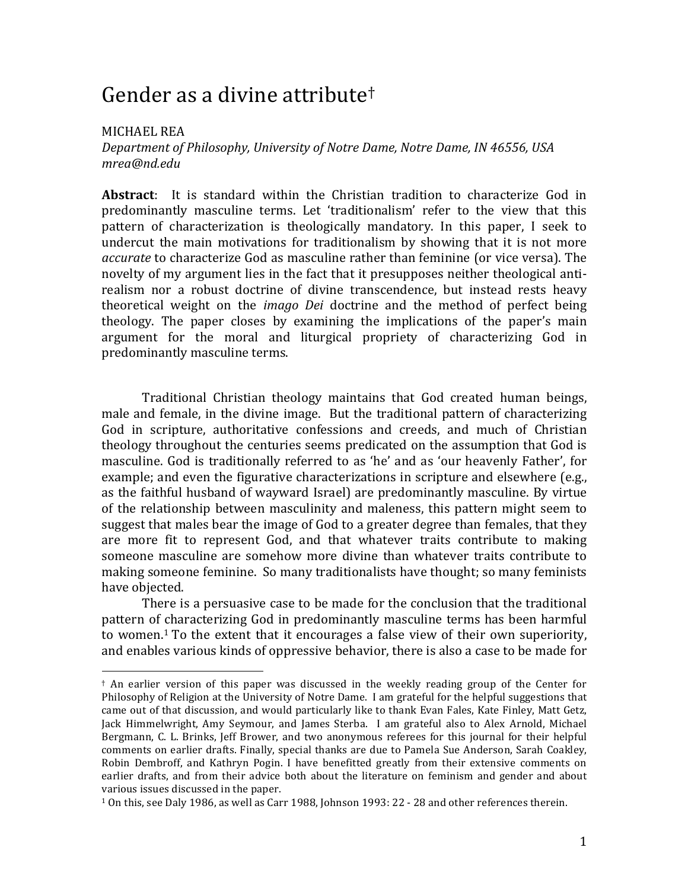# Gender as a divine attribute<sup>†</sup>

## **MICHAEL REA**

 

*Department of Philosophy, University of Notre Dame, Notre Dame, IN 46556, USA mrea@nd.edu*

**Abstract:** It is standard within the Christian tradition to characterize God in predominantly masculine terms. Let 'traditionalism' refer to the view that this pattern of characterization is theologically mandatory. In this paper, I seek to undercut the main motivations for traditionalism by showing that it is not more *accurate* to characterize God as masculine rather than feminine (or vice versa). The novelty of my argument lies in the fact that it presupposes neither theological antirealism nor a robust doctrine of divine transcendence, but instead rests heavy theoretical weight on the *imago Dei* doctrine and the method of perfect being theology. The paper closes by examining the implications of the paper's main argument for the moral and liturgical propriety of characterizing God in predominantly masculine terms.

Traditional Christian theology maintains that God created human beings, male and female, in the divine image. But the traditional pattern of characterizing God in scripture, authoritative confessions and creeds, and much of Christian theology throughout the centuries seems predicated on the assumption that God is masculine. God is traditionally referred to as 'he' and as 'our heavenly Father', for example; and even the figurative characterizations in scripture and elsewhere (e.g., as the faithful husband of wayward Israel) are predominantly masculine. By virtue of the relationship between masculinity and maleness, this pattern might seem to suggest that males bear the image of God to a greater degree than females, that they are more fit to represent God, and that whatever traits contribute to making someone masculine are somehow more divine than whatever traits contribute to making someone feminine. So many traditionalists have thought; so many feminists have objected.

There is a persuasive case to be made for the conclusion that the traditional pattern of characterizing God in predominantly masculine terms has been harmful to women.<sup>1</sup> To the extent that it encourages a false view of their own superiority, and enables various kinds of oppressive behavior, there is also a case to be made for

 $\dagger$  An earlier version of this paper was discussed in the weekly reading group of the Center for Philosophy of Religion at the University of Notre Dame. I am grateful for the helpful suggestions that came out of that discussion, and would particularly like to thank Evan Fales, Kate Finley, Matt Getz, Jack Himmelwright, Amy Seymour, and James Sterba. I am grateful also to Alex Arnold, Michael Bergmann, C. L. Brinks, Jeff Brower, and two anonymous referees for this journal for their helpful comments on earlier drafts. Finally, special thanks are due to Pamela Sue Anderson, Sarah Coakley, Robin Dembroff, and Kathryn Pogin. I have benefitted greatly from their extensive comments on earlier drafts, and from their advice both about the literature on feminism and gender and about various issues discussed in the paper.

 $1$  On this, see Daly 1986, as well as Carr 1988, Johnson 1993: 22 - 28 and other references therein.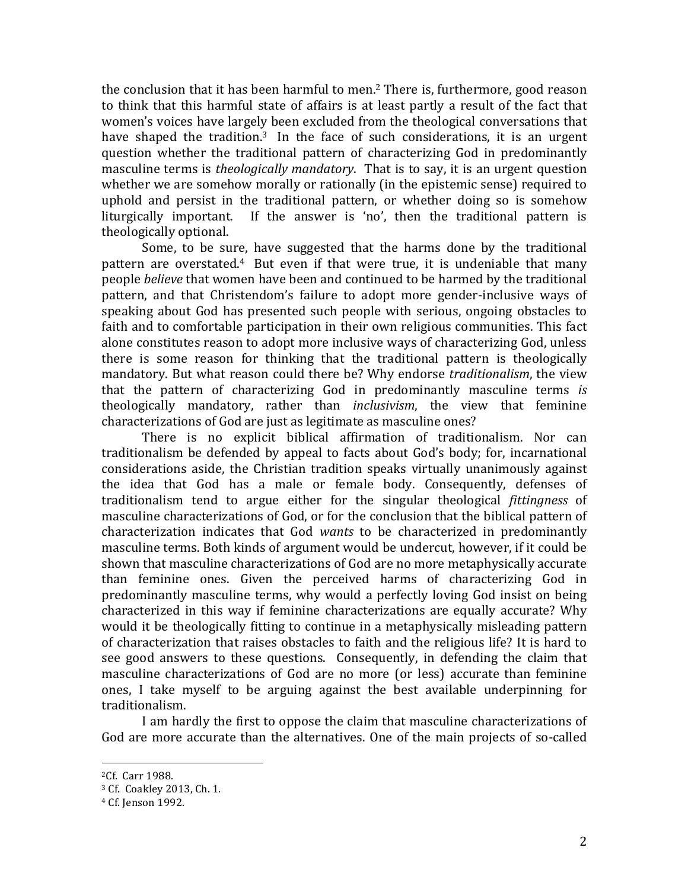the conclusion that it has been harmful to men.<sup>2</sup> There is, furthermore, good reason to think that this harmful state of affairs is at least partly a result of the fact that women's voices have largely been excluded from the theological conversations that have shaped the tradition.<sup>3</sup> In the face of such considerations, it is an urgent question whether the traditional pattern of characterizing God in predominantly masculine terms is *theologically mandatory*. That is to say, it is an urgent question whether we are somehow morally or rationally (in the epistemic sense) required to uphold and persist in the traditional pattern, or whether doing so is somehow liturgically important. If the answer is 'no', then the traditional pattern is theologically optional. 

Some, to be sure, have suggested that the harms done by the traditional pattern are overstated.<sup>4</sup> But even if that were true, it is undeniable that many people *believe* that women have been and continued to be harmed by the traditional pattern, and that Christendom's failure to adopt more gender-inclusive ways of speaking about God has presented such people with serious, ongoing obstacles to faith and to comfortable participation in their own religious communities. This fact alone constitutes reason to adopt more inclusive ways of characterizing God, unless there is some reason for thinking that the traditional pattern is theologically mandatory. But what reason could there be? Why endorse *traditionalism*, the view that the pattern of characterizing God in predominantly masculine terms *is* theologically mandatory, rather than *inclusivism*, the view that feminine characterizations of God are just as legitimate as masculine ones?

There is no explicit biblical affirmation of traditionalism. Nor can traditionalism be defended by appeal to facts about God's body; for, incarnational considerations aside, the Christian tradition speaks virtually unanimously against the idea that God has a male or female body. Consequently, defenses of traditionalism tend to argue either for the singular theological *fittingness* of masculine characterizations of God, or for the conclusion that the biblical pattern of characterization indicates that God *wants* to be characterized in predominantly masculine terms. Both kinds of argument would be undercut, however, if it could be shown that masculine characterizations of God are no more metaphysically accurate than feminine ones. Given the perceived harms of characterizing God in predominantly masculine terms, why would a perfectly loving God insist on being characterized in this way if feminine characterizations are equally accurate? Why would it be theologically fitting to continue in a metaphysically misleading pattern of characterization that raises obstacles to faith and the religious life? It is hard to see good answers to these questions. Consequently, in defending the claim that masculine characterizations of God are no more (or less) accurate than feminine ones, I take myself to be arguing against the best available underpinning for traditionalism.

I am hardly the first to oppose the claim that masculine characterizations of God are more accurate than the alternatives. One of the main projects of so-called

<sup>&</sup>lt;sup>2</sup>Cf. Carr 1988.

<sup>&</sup>lt;sup>3</sup> Cf. Coakley 2013, Ch. 1.

<sup>&</sup>lt;sup>4</sup> Cf. Jenson 1992.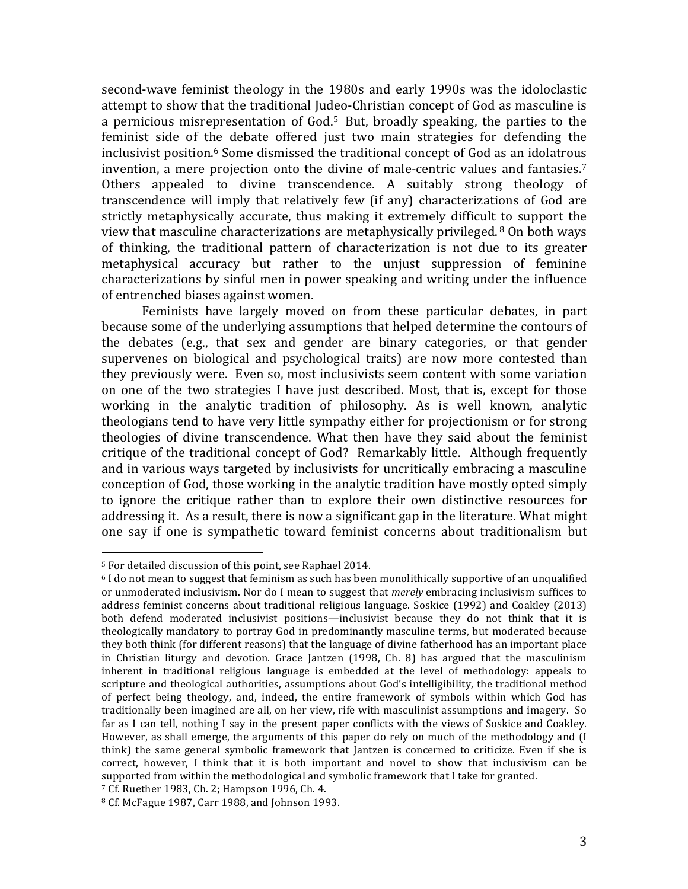second-wave feminist theology in the 1980s and early 1990s was the idoloclastic attempt to show that the traditional Judeo-Christian concept of God as masculine is a pernicious misrepresentation of  $God<sup>5</sup>$  But, broadly speaking, the parties to the feminist side of the debate offered just two main strategies for defending the inclusivist position.<sup>6</sup> Some dismissed the traditional concept of God as an idolatrous invention, a mere projection onto the divine of male-centric values and fantasies.<sup>7</sup> Others appealed to divine transcendence. A suitably strong theology of transcendence will imply that relatively few (if any) characterizations of God are strictly metaphysically accurate, thus making it extremely difficult to support the view that masculine characterizations are metaphysically privileged.  $8$  On both ways of thinking, the traditional pattern of characterization is not due to its greater metaphysical accuracy but rather to the unjust suppression of feminine characterizations by sinful men in power speaking and writing under the influence of entrenched biases against women.

Feminists have largely moved on from these particular debates, in part because some of the underlying assumptions that helped determine the contours of the debates (e.g., that sex and gender are binary categories, or that gender supervenes on biological and psychological traits) are now more contested than they previously were. Even so, most inclusivists seem content with some variation on one of the two strategies I have just described. Most, that is, except for those working in the analytic tradition of philosophy. As is well known, analytic theologians tend to have very little sympathy either for projectionism or for strong theologies of divine transcendence. What then have they said about the feminist critique of the traditional concept of God? Remarkably little. Although frequently and in various ways targeted by inclusivists for uncritically embracing a masculine conception of God, those working in the analytic tradition have mostly opted simply to ignore the critique rather than to explore their own distinctive resources for addressing it. As a result, there is now a significant gap in the literature. What might one say if one is sympathetic toward feminist concerns about traditionalism but

<sup>&</sup>lt;sup>5</sup> For detailed discussion of this point, see Raphael 2014.

 $6$  I do not mean to suggest that feminism as such has been monolithically supportive of an unqualified or unmoderated inclusivism. Nor do I mean to suggest that *merely* embracing inclusivism suffices to address feminist concerns about traditional religious language. Soskice (1992) and Coakley (2013) both defend moderated inclusivist positions—inclusivist because they do not think that it is theologically mandatory to portray God in predominantly masculine terms, but moderated because they both think (for different reasons) that the language of divine fatherhood has an important place in Christian liturgy and devotion. Grace Jantzen  $(1998, Ch. 8)$  has argued that the masculinism inherent in traditional religious language is embedded at the level of methodology: appeals to scripture and theological authorities, assumptions about God's intelligibility, the traditional method of perfect being theology, and, indeed, the entire framework of symbols within which God has traditionally been imagined are all, on her view, rife with masculinist assumptions and imagery. So far as I can tell, nothing I say in the present paper conflicts with the views of Soskice and Coakley. However, as shall emerge, the arguments of this paper do rely on much of the methodology and  $(I)$ think) the same general symbolic framework that lantzen is concerned to criticize. Even if she is correct, however, I think that it is both important and novel to show that inclusivism can be supported from within the methodological and symbolic framework that I take for granted.

<sup>&</sup>lt;sup>7</sup> Cf. Ruether 1983, Ch. 2; Hampson 1996, Ch. 4.

<sup>&</sup>lt;sup>8</sup> Cf. McFague 1987, Carr 1988, and Johnson 1993.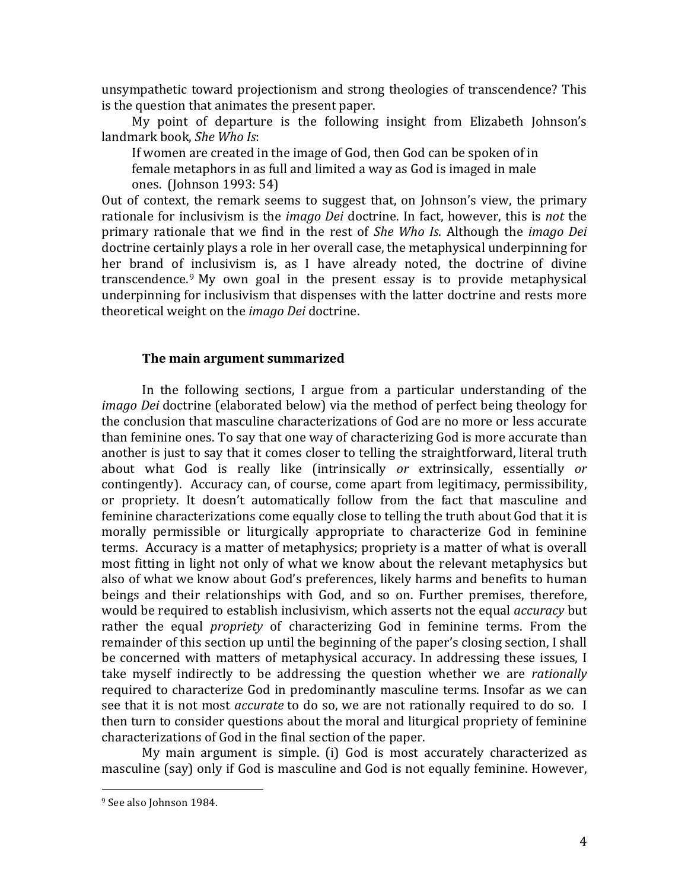unsympathetic toward projectionism and strong theologies of transcendence? This is the question that animates the present paper.

My point of departure is the following insight from Elizabeth Johnson's landmark book, *She Who Is*:

If women are created in the image of God, then God can be spoken of in female metaphors in as full and limited a way as God is imaged in male ones. (Johnson 1993: 54)

Out of context, the remark seems to suggest that, on Johnson's view, the primary rationale for inclusivism is the *imago Dei* doctrine. In fact, however, this is *not* the primary rationale that we find in the rest of *She Who Is*. Although the *imago Dei* doctrine certainly plays a role in her overall case, the metaphysical underpinning for her brand of inclusivism is, as I have already noted, the doctrine of divine transcendence.<sup>9</sup> My own goal in the present essay is to provide metaphysical underpinning for inclusivism that dispenses with the latter doctrine and rests more theoretical weight on the *imago Dei* doctrine.

#### **The main argument summarized**

In the following sections, I argue from a particular understanding of the *imago Dei* doctrine (elaborated below) via the method of perfect being theology for the conclusion that masculine characterizations of God are no more or less accurate than feminine ones. To say that one way of characterizing God is more accurate than another is just to say that it comes closer to telling the straightforward, literal truth about what God is really like (intrinsically or extrinsically, essentially or contingently). Accuracy can, of course, come apart from legitimacy, permissibility, or propriety. It doesn't automatically follow from the fact that masculine and feminine characterizations come equally close to telling the truth about God that it is morally permissible or liturgically appropriate to characterize God in feminine terms. Accuracy is a matter of metaphysics; propriety is a matter of what is overall most fitting in light not only of what we know about the relevant metaphysics but also of what we know about God's preferences, likely harms and benefits to human beings and their relationships with God, and so on. Further premises, therefore, would be required to establish inclusivism, which asserts not the equal *accuracy* but rather the equal *propriety* of characterizing God in feminine terms. From the remainder of this section up until the beginning of the paper's closing section, I shall be concerned with matters of metaphysical accuracy. In addressing these issues, I take myself indirectly to be addressing the question whether we are *rationally* required to characterize God in predominantly masculine terms. Insofar as we can see that it is not most *accurate* to do so, we are not rationally required to do so. I then turn to consider questions about the moral and liturgical propriety of feminine characterizations of God in the final section of the paper.

My main argument is simple. (i) God is most accurately characterized as masculine (say) only if God is masculine and God is not equally feminine. However,

<sup>&</sup>lt;sup>9</sup> See also Johnson 1984.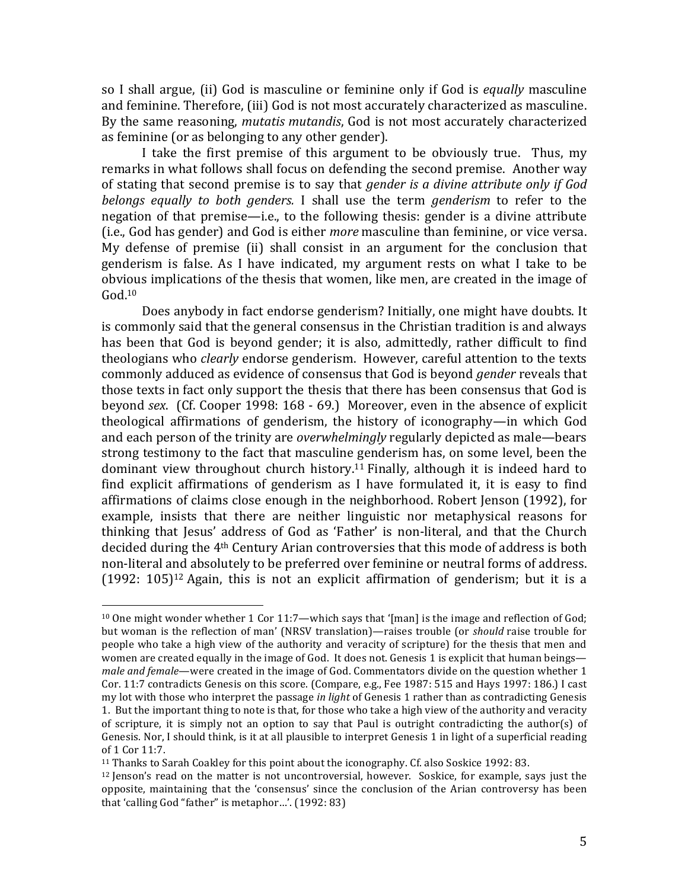so I shall argue, (ii) God is masculine or feminine only if God is *equally* masculine and feminine. Therefore, (iii) God is not most accurately characterized as masculine. By the same reasoning, *mutatis mutandis*, God is not most accurately characterized as feminine (or as belonging to any other gender).

I take the first premise of this argument to be obviously true. Thus, my remarks in what follows shall focus on defending the second premise. Another way of stating that second premise is to say that *gender is a divine attribute only if God belongs equally to both genders.* I shall use the term *genderism* to refer to the negation of that premise—i.e., to the following thesis: gender is a divine attribute (i.e., God has gender) and God is either *more* masculine than feminine, or vice versa. My defense of premise  $(i)$  shall consist in an argument for the conclusion that genderism is false. As I have indicated, my argument rests on what I take to be obvious implications of the thesis that women, like men, are created in the image of  $God<sub>.10</sub>$ 

Does anybody in fact endorse genderism? Initially, one might have doubts. It is commonly said that the general consensus in the Christian tradition is and always has been that God is beyond gender; it is also, admittedly, rather difficult to find theologians who *clearly* endorse genderism. However, careful attention to the texts commonly adduced as evidence of consensus that God is beyond *gender* reveals that those texts in fact only support the thesis that there has been consensus that God is beyond *sex.* (Cf. Cooper 1998: 168 - 69.) Moreover, even in the absence of explicit theological affirmations of genderism, the history of iconography—in which God and each person of the trinity are *overwhelmingly* regularly depicted as male—bears strong testimony to the fact that masculine genderism has, on some level, been the dominant view throughout church history.<sup>11</sup> Finally, although it is indeed hard to find explicit affirmations of genderism as I have formulated it, it is easy to find affirmations of claims close enough in the neighborhood. Robert Jenson (1992), for example, insists that there are neither linguistic nor metaphysical reasons for thinking that Jesus' address of God as 'Father' is non-literal, and that the Church decided during the  $4<sup>th</sup>$  Century Arian controversies that this mode of address is both non-literal and absolutely to be preferred over feminine or neutral forms of address.  $(1992: 105)^{12}$  Again, this is not an explicit affirmation of genderism; but it is a

<sup>&</sup>lt;sup>10</sup> One might wonder whether 1 Cor 11:7—which says that '[man] is the image and reflection of God; but woman is the reflection of man' (NRSV translation)—raises trouble (or *should* raise trouble for people who take a high view of the authority and veracity of scripture) for the thesis that men and women are created equally in the image of God. It does not. Genesis 1 is explicit that human beings *male and female*—were created in the image of God. Commentators divide on the question whether 1 Cor. 11:7 contradicts Genesis on this score. (Compare, e.g., Fee 1987: 515 and Hays 1997: 186.) I cast my lot with those who interpret the passage *in light* of Genesis 1 rather than as contradicting Genesis 1. But the important thing to note is that, for those who take a high view of the authority and veracity of scripture, it is simply not an option to say that Paul is outright contradicting the author(s) of Genesis. Nor, I should think, is it at all plausible to interpret Genesis 1 in light of a superficial reading of 1 Cor 11:7.

 $11$  Thanks to Sarah Coakley for this point about the iconography. Cf. also Soskice 1992: 83.

 $12$  Jenson's read on the matter is not uncontroversial, however. Soskice, for example, says just the opposite, maintaining that the 'consensus' since the conclusion of the Arian controversy has been that 'calling God "father" is metaphor...'. (1992: 83)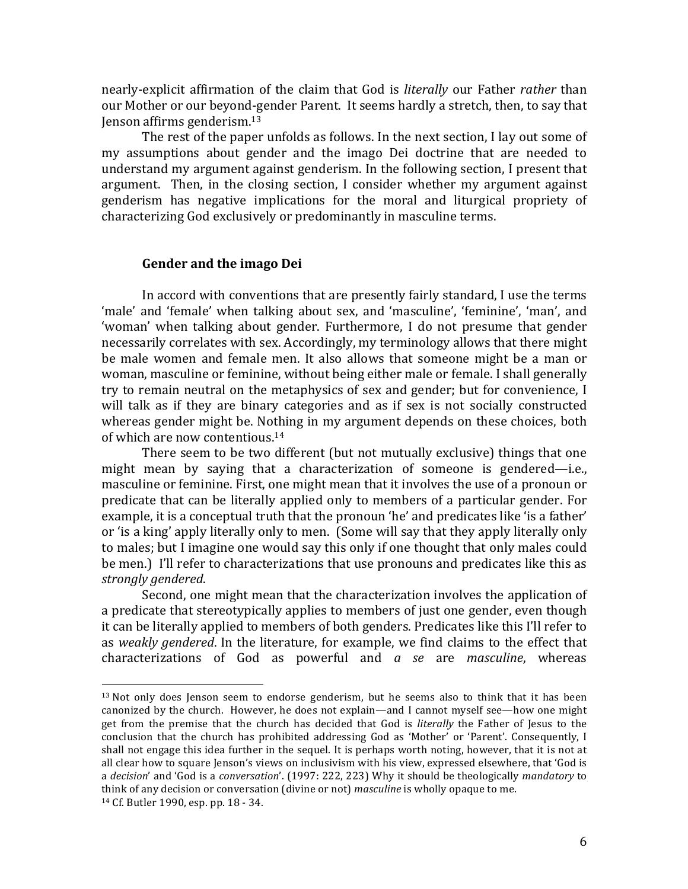nearly-explicit affirmation of the claim that God is *literally* our Father *rather* than our Mother or our beyond-gender Parent. It seems hardly a stretch, then, to say that Jenson affirms genderism. $13$ 

The rest of the paper unfolds as follows. In the next section, I lay out some of my assumptions about gender and the imago Dei doctrine that are needed to understand my argument against genderism. In the following section, I present that argument. Then, in the closing section, I consider whether my argument against genderism has negative implications for the moral and liturgical propriety of characterizing God exclusively or predominantly in masculine terms.

#### **Gender and the imago Dei**

 

In accord with conventions that are presently fairly standard, I use the terms 'male' and 'female' when talking about sex, and 'masculine', 'feminine', 'man', and 'woman' when talking about gender. Furthermore, I do not presume that gender necessarily correlates with sex. Accordingly, my terminology allows that there might be male women and female men. It also allows that someone might be a man or woman, masculine or feminine, without being either male or female. I shall generally try to remain neutral on the metaphysics of sex and gender; but for convenience, I will talk as if they are binary categories and as if sex is not socially constructed whereas gender might be. Nothing in my argument depends on these choices, both of which are now contentious.<sup>14</sup>

There seem to be two different (but not mutually exclusive) things that one might mean by saying that a characterization of someone is gendered—i.e., masculine or feminine. First, one might mean that it involves the use of a pronoun or predicate that can be literally applied only to members of a particular gender. For example, it is a conceptual truth that the pronoun 'he' and predicates like 'is a father' or 'is a king' apply literally only to men. (Some will say that they apply literally only to males; but I imagine one would say this only if one thought that only males could be men.) I'll refer to characterizations that use pronouns and predicates like this as *strongly gendered*.

Second, one might mean that the characterization involves the application of a predicate that stereotypically applies to members of just one gender, even though it can be literally applied to members of both genders. Predicates like this I'll refer to as *weakly gendered*. In the literature, for example, we find claims to the effect that characterizations of God as powerful and *a se* are *masculine*, whereas 

 $13$  Not only does Jenson seem to endorse genderism, but he seems also to think that it has been canonized by the church. However, he does not explain—and I cannot myself see—how one might get from the premise that the church has decided that God is *literally* the Father of Jesus to the conclusion that the church has prohibited addressing God as 'Mother' or 'Parent'. Consequently, I shall not engage this idea further in the sequel. It is perhaps worth noting, however, that it is not at all clear how to square Jenson's views on inclusivism with his view, expressed elsewhere, that 'God is a *decision*' and 'God is a *conversation*'. (1997: 222, 223) Why it should be theologically *mandatory* to think of any decision or conversation (divine or not) *masculine* is wholly opaque to me. 14 Cf. Butler 1990, esp. pp. 18 - 34.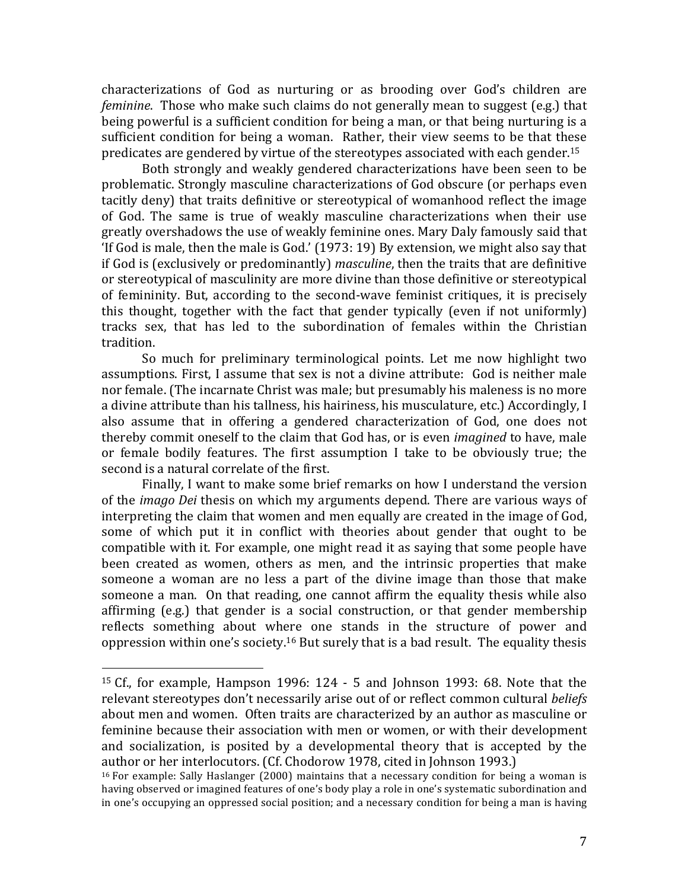characterizations of God as nurturing or as brooding over God's children are *feminine*. Those who make such claims do not generally mean to suggest (e.g.) that being powerful is a sufficient condition for being a man, or that being nurturing is a sufficient condition for being a woman. Rather, their view seems to be that these predicates are gendered by virtue of the stereotypes associated with each gender.<sup>15</sup>

Both strongly and weakly gendered characterizations have been seen to be problematic. Strongly masculine characterizations of God obscure (or perhaps even tacitly deny) that traits definitive or stereotypical of womanhood reflect the image of God. The same is true of weakly masculine characterizations when their use greatly overshadows the use of weakly feminine ones. Mary Daly famously said that 'If God is male, then the male is God.' (1973: 19) By extension, we might also say that if God is (exclusively or predominantly) *masculine*, then the traits that are definitive or stereotypical of masculinity are more divine than those definitive or stereotypical of femininity. But, according to the second-wave feminist critiques, it is precisely this thought, together with the fact that gender typically (even if not uniformly) tracks sex, that has led to the subordination of females within the Christian tradition.

So much for preliminary terminological points. Let me now highlight two assumptions. First, I assume that sex is not a divine attribute: God is neither male nor female. (The incarnate Christ was male; but presumably his maleness is no more a divine attribute than his tallness, his hairiness, his musculature, etc.) Accordingly, I also assume that in offering a gendered characterization of God, one does not thereby commit oneself to the claim that God has, or is even *imagined* to have, male or female bodily features. The first assumption I take to be obviously true; the second is a natural correlate of the first.

Finally, I want to make some brief remarks on how I understand the version of the *imago Dei* thesis on which my arguments depend. There are various ways of interpreting the claim that women and men equally are created in the image of God, some of which put it in conflict with theories about gender that ought to be compatible with it. For example, one might read it as saying that some people have been created as women, others as men, and the intrinsic properties that make someone a woman are no less a part of the divine image than those that make someone a man. On that reading, one cannot affirm the equality thesis while also affirming (e.g.) that gender is a social construction, or that gender membership reflects something about where one stands in the structure of power and oppression within one's society.<sup>16</sup> But surely that is a bad result. The equality thesis

<sup>&</sup>lt;sup>15</sup> Cf., for example, Hampson 1996:  $124 - 5$  and Johnson 1993: 68. Note that the relevant stereotypes don't necessarily arise out of or reflect common cultural *beliefs* about men and women. Often traits are characterized by an author as masculine or feminine because their association with men or women, or with their development and socialization, is posited by a developmental theory that is accepted by the author or her interlocutors. (Cf. Chodorow 1978, cited in Johnson 1993.)

 $16$  For example: Sally Haslanger (2000) maintains that a necessary condition for being a woman is having observed or imagined features of one's body play a role in one's systematic subordination and in one's occupying an oppressed social position; and a necessary condition for being a man is having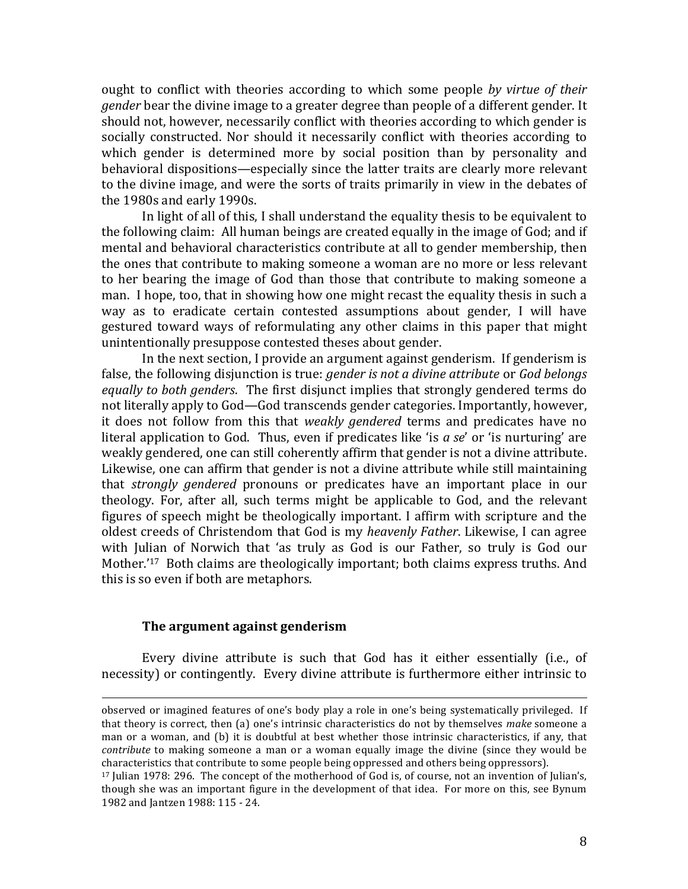ought to conflict with theories according to which some people by virtue of their *gender* bear the divine image to a greater degree than people of a different gender. It should not, however, necessarily conflict with theories according to which gender is socially constructed. Nor should it necessarily conflict with theories according to which gender is determined more by social position than by personality and behavioral dispositions—especially since the latter traits are clearly more relevant to the divine image, and were the sorts of traits primarily in view in the debates of the 1980s and early 1990s.

In light of all of this, I shall understand the equality thesis to be equivalent to the following claim: All human beings are created equally in the image of God; and if mental and behavioral characteristics contribute at all to gender membership, then the ones that contribute to making someone a woman are no more or less relevant to her bearing the image of God than those that contribute to making someone a man. I hope, too, that in showing how one might recast the equality thesis in such a way as to eradicate certain contested assumptions about gender, I will have gestured toward ways of reformulating any other claims in this paper that might unintentionally presuppose contested theses about gender.

In the next section, I provide an argument against genderism. If genderism is false, the following disjunction is true: *gender is not a divine attribute* or *God belongs equally to both genders.* The first disjunct implies that strongly gendered terms do not literally apply to God—God transcends gender categories. Importantly, however, it does not follow from this that *weakly gendered* terms and predicates have no literal application to God. Thus, even if predicates like 'is *a* se' or 'is nurturing' are weakly gendered, one can still coherently affirm that gender is not a divine attribute. Likewise, one can affirm that gender is not a divine attribute while still maintaining that *strongly gendered* pronouns or predicates have an important place in our theology. For, after all, such terms might be applicable to God, and the relevant figures of speech might be theologically important. I affirm with scripture and the oldest creeds of Christendom that God is my *heavenly Father*. Likewise, I can agree with Julian of Norwich that 'as truly as God is our Father, so truly is God our Mother.'<sup>17</sup> Both claims are theologically important; both claims express truths. And this is so even if both are metaphors.

#### **The argument against genderism**

Every divine attribute is such that  $God$  has it either essentially (i.e., of necessity) or contingently. Every divine attribute is furthermore either intrinsic to

<u> 2002 - Andrea San Andrea San Andrea San Andrea San Andrea San Andrea San Andrea San Andrea San Andrea San An</u>

observed or imagined features of one's body play a role in one's being systematically privileged. If that theory is correct, then (a) one's intrinsic characteristics do not by themselves *make* someone a man or a woman, and (b) it is doubtful at best whether those intrinsic characteristics, if any, that *contribute* to making someone a man or a woman equally image the divine (since they would be characteristics that contribute to some people being oppressed and others being oppressors).

<sup>&</sup>lt;sup>17</sup> Julian 1978: 296. The concept of the motherhood of God is, of course, not an invention of Julian's, though she was an important figure in the development of that idea. For more on this, see Bynum 1982 and Jantzen 1988: 115 - 24.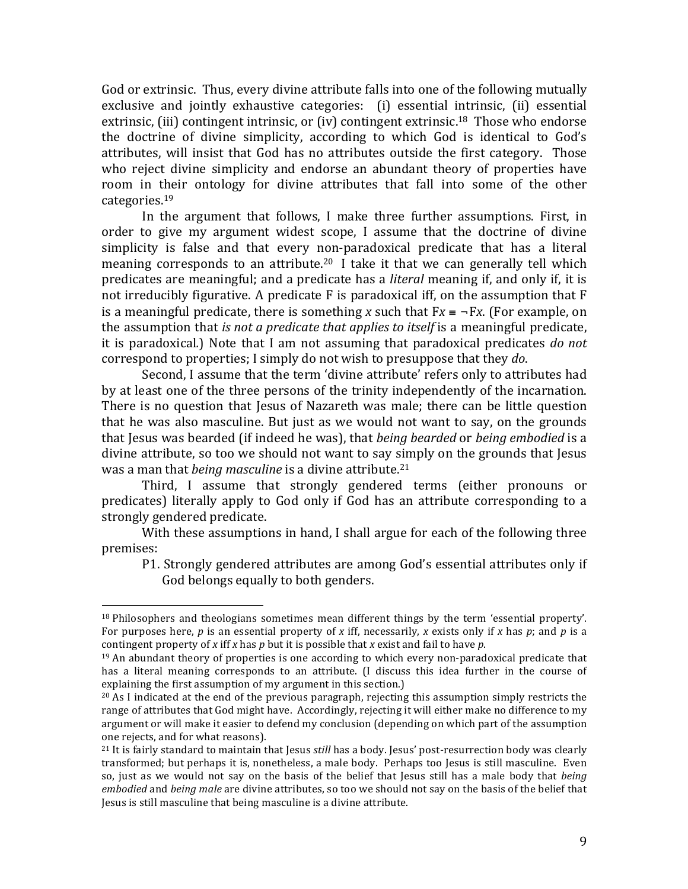God or extrinsic. Thus, every divine attribute falls into one of the following mutually exclusive and jointly exhaustive categories: (i) essential intrinsic, (ii) essential extrinsic, (iii) contingent intrinsic, or (iv) contingent extrinsic.<sup>18</sup> Those who endorse the doctrine of divine simplicity, according to which God is identical to God's attributes, will insist that God has no attributes outside the first category. Those who reject divine simplicity and endorse an abundant theory of properties have room in their ontology for divine attributes that fall into some of the other categories.19 

In the argument that follows, I make three further assumptions. First, in order to give my argument widest scope, I assume that the doctrine of divine simplicity is false and that every non-paradoxical predicate that has a literal meaning corresponds to an attribute.<sup>20</sup> I take it that we can generally tell which predicates are meaningful; and a predicate has a *literal* meaning if, and only if, it is not irreducibly figurative. A predicate  $F$  is paradoxical iff, on the assumption that  $F$ is a meaningful predicate, there is something *x* such that  $Fx = \neg Fx$ . (For example, on the assumption that *is not a predicate that applies to itself* is a meaningful predicate, it is paradoxical.) Note that I am not assuming that paradoxical predicates *do not* correspond to properties; I simply do not wish to presuppose that they *do*.

Second, I assume that the term 'divine attribute' refers only to attributes had by at least one of the three persons of the trinity independently of the incarnation. There is no question that Jesus of Nazareth was male; there can be little question that he was also masculine. But just as we would not want to say, on the grounds that Jesus was bearded (if indeed he was), that *being bearded* or *being embodied* is a divine attribute, so too we should not want to say simply on the grounds that Jesus was a man that *being masculine* is a divine attribute.<sup>21</sup>

Third, I assume that strongly gendered terms (either pronouns or predicates) literally apply to God only if God has an attribute corresponding to a strongly gendered predicate.

With these assumptions in hand, I shall argue for each of the following three premises:

P1. Strongly gendered attributes are among God's essential attributes only if God belongs equally to both genders.

<sup>&</sup>lt;sup>18</sup> Philosophers and theologians sometimes mean different things by the term 'essential property'. For purposes here, *p* is an essential property of *x* iff, necessarily, *x* exists only if *x* has *p*; and *p* is a contingent property of *x* iff *x* has *p* but it is possible that *x* exist and fail to have *p*.

 $19$  An abundant theory of properties is one according to which every non-paradoxical predicate that has a literal meaning corresponds to an attribute. (I discuss this idea further in the course of explaining the first assumption of my argument in this section.)

<sup>&</sup>lt;sup>20</sup> As I indicated at the end of the previous paragraph, rejecting this assumption simply restricts the range of attributes that God might have. Accordingly, rejecting it will either make no difference to my argument or will make it easier to defend my conclusion (depending on which part of the assumption one rejects, and for what reasons).

<sup>&</sup>lt;sup>21</sup> It is fairly standard to maintain that Jesus *still* has a body. Jesus' post-resurrection body was clearly transformed; but perhaps it is, nonetheless, a male body. Perhaps too Jesus is still masculine. Even so, just as we would not say on the basis of the belief that Jesus still has a male body that *being embodied* and *being male* are divine attributes, so too we should not say on the basis of the belief that Jesus is still masculine that being masculine is a divine attribute.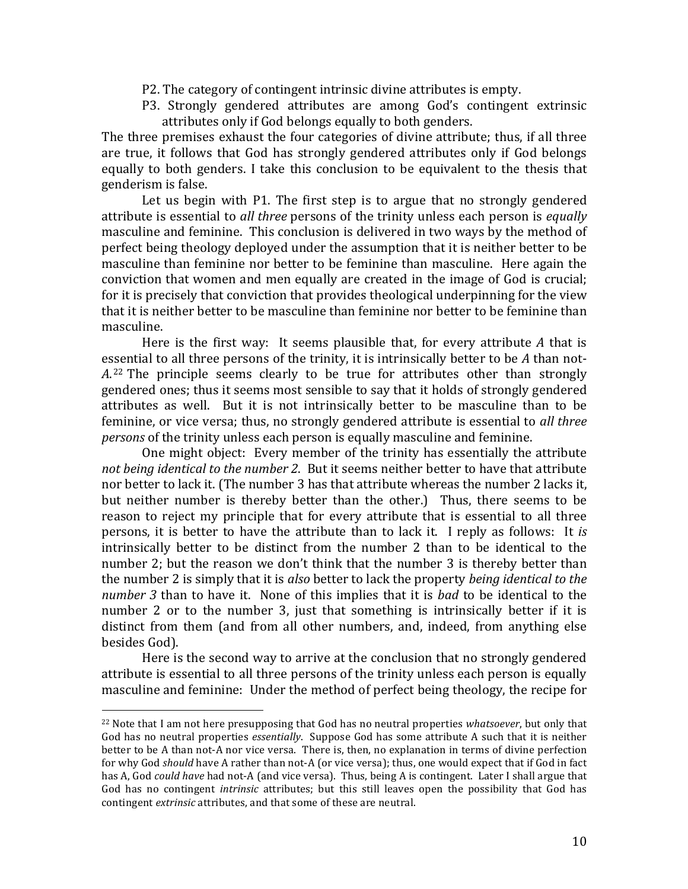- P2. The category of contingent intrinsic divine attributes is empty.
- P3. Strongly gendered attributes are among God's contingent extrinsic attributes only if God belongs equally to both genders.

The three premises exhaust the four categories of divine attribute; thus, if all three are true, it follows that God has strongly gendered attributes only if God belongs equally to both genders. I take this conclusion to be equivalent to the thesis that genderism is false.

Let us begin with  $P1$ . The first step is to argue that no strongly gendered attribute is essential to *all three* persons of the trinity unless each person is *equally* masculine and feminine. This conclusion is delivered in two ways by the method of perfect being theology deployed under the assumption that it is neither better to be masculine than feminine nor better to be feminine than masculine. Here again the conviction that women and men equally are created in the image of God is crucial; for it is precisely that conviction that provides theological underpinning for the view that it is neither better to be masculine than feminine nor better to be feminine than masculine.

Here is the first way: It seems plausible that, for every attribute  $A$  that is essential to all three persons of the trinity, it is intrinsically better to be A than not-*A*.<sup>22</sup> The principle seems clearly to be true for attributes other than strongly gendered ones; thus it seems most sensible to say that it holds of strongly gendered attributes as well. But it is not intrinsically better to be masculine than to be feminine, or vice versa; thus, no strongly gendered attribute is essential to all three *persons* of the trinity unless each person is equally masculine and feminine.

One might object: Every member of the trinity has essentially the attribute *not being identical to the number 2.* But it seems neither better to have that attribute nor better to lack it. (The number 3 has that attribute whereas the number 2 lacks it, but neither number is thereby better than the other.) Thus, there seems to be reason to reject my principle that for every attribute that is essential to all three persons, it is better to have the attribute than to lack it. I reply as follows: It *is* intrinsically better to be distinct from the number 2 than to be identical to the number 2; but the reason we don't think that the number 3 is thereby better than the number 2 is simply that it is also better to lack the property *being identical to the number* 3 than to have it. None of this implies that it is *bad* to be identical to the number 2 or to the number 3, just that something is intrinsically better if it is distinct from them (and from all other numbers, and, indeed, from anything else besides God).

Here is the second way to arrive at the conclusion that no strongly gendered attribute is essential to all three persons of the trinity unless each person is equally masculine and feminine: Under the method of perfect being theology, the recipe for

<sup>&</sup>lt;sup>22</sup> Note that I am not here presupposing that God has no neutral properties *whatsoever*, but only that God has no neutral properties *essentially*. Suppose God has some attribute A such that it is neither better to be A than not-A nor vice versa. There is, then, no explanation in terms of divine perfection for why God *should* have A rather than not-A (or vice versa); thus, one would expect that if God in fact has A, God *could have* had not-A (and vice versa). Thus, being A is contingent. Later I shall argue that God has no contingent *intrinsic* attributes; but this still leaves open the possibility that God has contingent *extrinsic* attributes, and that some of these are neutral.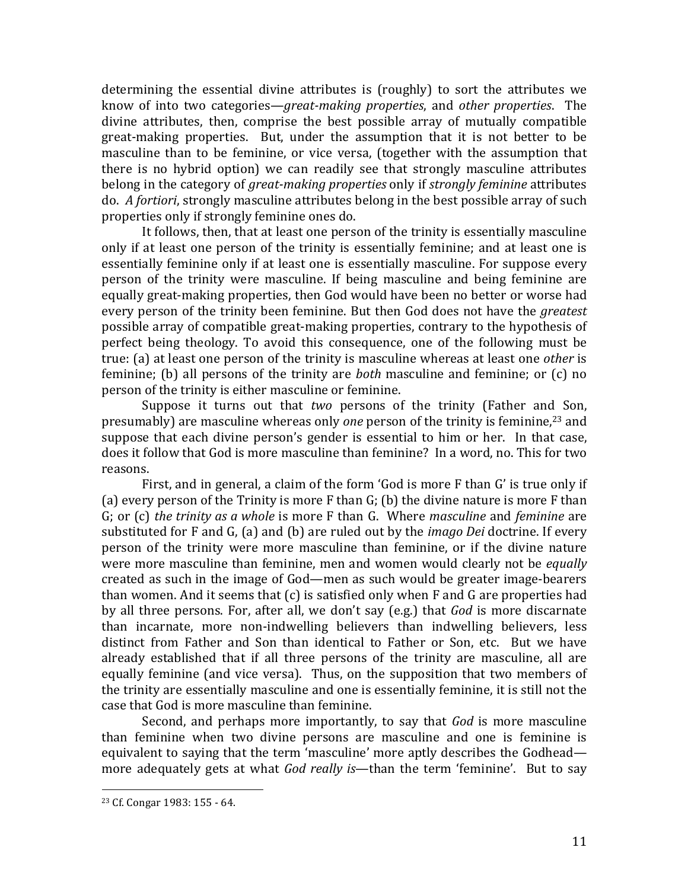determining the essential divine attributes is (roughly) to sort the attributes we know of into two categories—*great-making properties*, and *other properties*. The divine attributes, then, comprise the best possible array of mutually compatible great-making properties. But, under the assumption that it is not better to be masculine than to be feminine, or vice versa, (together with the assumption that there is no hybrid option) we can readily see that strongly masculine attributes belong in the category of *great-making properties* only if *strongly feminine* attributes do. *A fortiori*, strongly masculine attributes belong in the best possible array of such properties only if strongly feminine ones do.

It follows, then, that at least one person of the trinity is essentially masculine only if at least one person of the trinity is essentially feminine; and at least one is essentially feminine only if at least one is essentially masculine. For suppose every person of the trinity were masculine. If being masculine and being feminine are equally great-making properties, then God would have been no better or worse had every person of the trinity been feminine. But then God does not have the *greatest* possible array of compatible great-making properties, contrary to the hypothesis of perfect being theology. To avoid this consequence, one of the following must be true: (a) at least one person of the trinity is masculine whereas at least one *other* is feminine; (b) all persons of the trinity are *both* masculine and feminine; or (c) no person of the trinity is either masculine or feminine.

Suppose it turns out that *two* persons of the trinity (Father and Son, presumably) are masculine whereas only *one* person of the trinity is feminine,<sup>23</sup> and suppose that each divine person's gender is essential to him or her. In that case, does it follow that God is more masculine than feminine? In a word, no. This for two reasons. 

First, and in general, a claim of the form 'God is more  $F$  than  $G'$  is true only if (a) every person of the Trinity is more  $F$  than  $G$ ; (b) the divine nature is more  $F$  than G; or (c) the trinity as a whole is more F than G. Where *masculine* and *feminine* are substituted for F and G, (a) and (b) are ruled out by the *imago Dei* doctrine. If every person of the trinity were more masculine than feminine, or if the divine nature were more masculine than feminine, men and women would clearly not be *equally* created as such in the image of God—men as such would be greater image-bearers than women. And it seems that  $(c)$  is satisfied only when  $F$  and  $G$  are properties had by all three persons. For, after all, we don't say (e.g.) that *God* is more discarnate than incarnate, more non-indwelling believers than indwelling believers, less distinct from Father and Son than identical to Father or Son, etc. But we have already established that if all three persons of the trinity are masculine, all are equally feminine (and vice versa). Thus, on the supposition that two members of the trinity are essentially masculine and one is essentially feminine, it is still not the case that God is more masculine than feminine.

Second, and perhaps more importantly, to say that *God* is more masculine than feminine when two divine persons are masculine and one is feminine is equivalent to saying that the term 'masculine' more aptly describes the Godhead more adequately gets at what *God really* is—than the term 'feminine'. But to say

<sup>23</sup> Cf. Congar 1983: 155 - 64.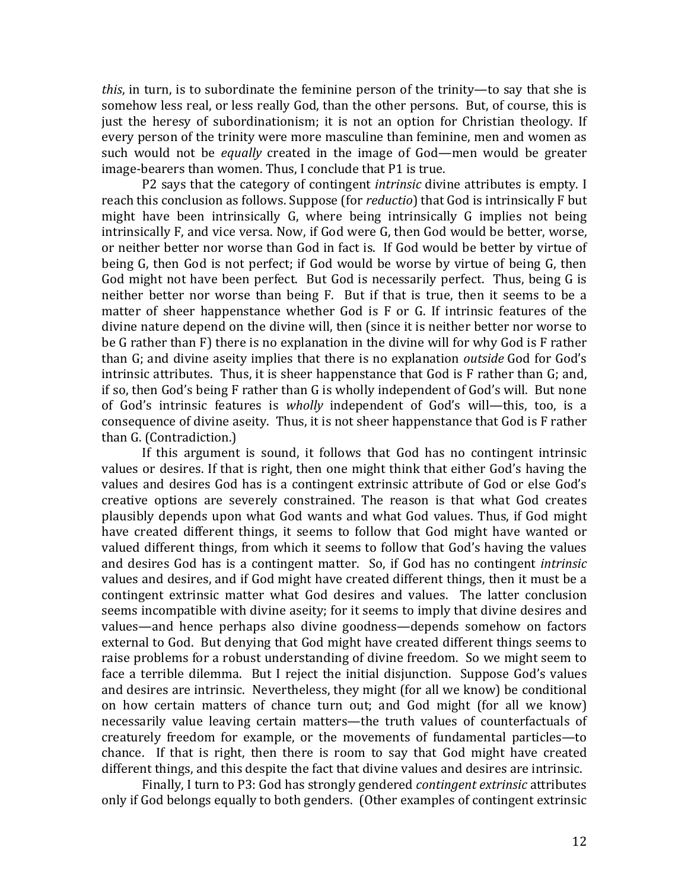*this*, in turn, is to subordinate the feminine person of the trinity—to say that she is somehow less real, or less really God, than the other persons. But, of course, this is just the heresy of subordinationism; it is not an option for Christian theology. If every person of the trinity were more masculine than feminine, men and women as such would not be *equally* created in the image of God—men would be greater image-bearers than women. Thus, I conclude that P1 is true.

P2 says that the category of contingent *intrinsic* divine attributes is empty. I reach this conclusion as follows. Suppose (for *reductio*) that God is intrinsically F but might have been intrinsically G, where being intrinsically G implies not being intrinsically F, and vice versa. Now, if God were G, then God would be better, worse, or neither better nor worse than God in fact is. If God would be better by virtue of being G, then God is not perfect; if God would be worse by virtue of being G, then God might not have been perfect. But God is necessarily perfect. Thus, being G is neither better nor worse than being F. But if that is true, then it seems to be a matter of sheer happenstance whether God is  $F$  or G. If intrinsic features of the divine nature depend on the divine will, then (since it is neither better nor worse to be  $G$  rather than  $F$ ) there is no explanation in the divine will for why  $G$ od is  $F$  rather than G; and divine aseity implies that there is no explanation *outside* God for God's intrinsic attributes. Thus, it is sheer happenstance that God is F rather than G; and, if so, then  $God's being F rather than G is wholly independent of God's will. But none$ of God's intrinsic features is wholly independent of God's will—this, too, is a consequence of divine aseity. Thus, it is not sheer happenstance that God is F rather than G. (Contradiction.)

If this argument is sound, it follows that God has no contingent intrinsic values or desires. If that is right, then one might think that either God's having the values and desires God has is a contingent extrinsic attribute of God or else God's creative options are severely constrained. The reason is that what God creates plausibly depends upon what God wants and what God values. Thus, if God might have created different things, it seems to follow that God might have wanted or valued different things, from which it seems to follow that God's having the values and desires God has is a contingent matter. So, if God has no contingent *intrinsic* values and desires, and if God might have created different things, then it must be a contingent extrinsic matter what God desires and values. The latter conclusion seems incompatible with divine aseity; for it seems to imply that divine desires and values—and hence perhaps also divine goodness—depends somehow on factors external to God. But denying that God might have created different things seems to raise problems for a robust understanding of divine freedom. So we might seem to face a terrible dilemma. But I reject the initial disjunction. Suppose God's values and desires are intrinsic. Nevertheless, they might (for all we know) be conditional on how certain matters of chance turn out; and God might (for all we know) necessarily value leaving certain matters—the truth values of counterfactuals of creaturely freedom for example, or the movements of fundamental particles—to chance. If that is right, then there is room to say that God might have created different things, and this despite the fact that divine values and desires are intrinsic.

Finally, I turn to P3: God has strongly gendered *contingent extrinsic* attributes only if God belongs equally to both genders. (Other examples of contingent extrinsic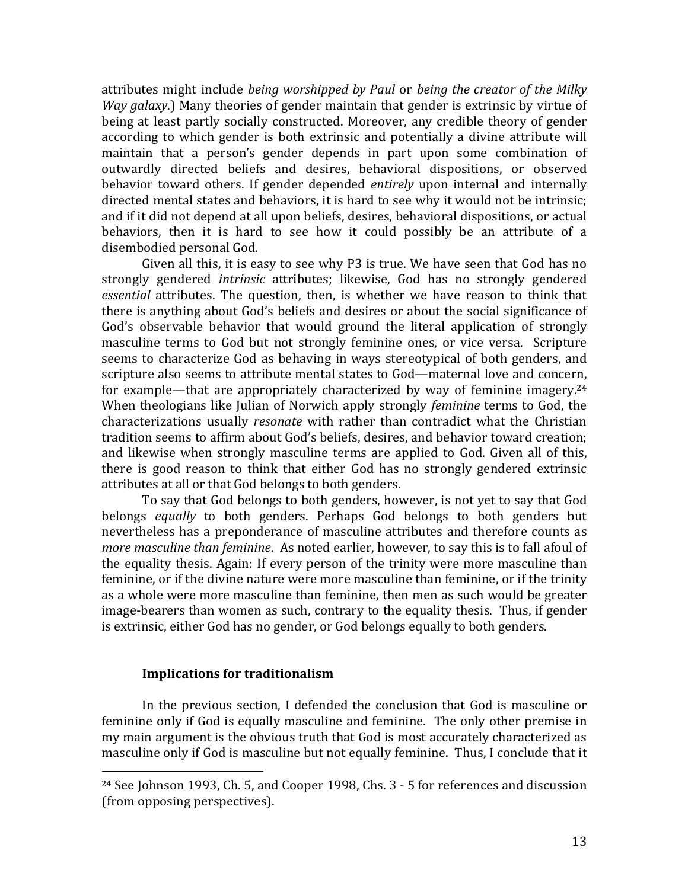attributes might include *being* worshipped by Paul or *being the creator of the Milky Way galaxy*.) Many theories of gender maintain that gender is extrinsic by virtue of being at least partly socially constructed. Moreover, any credible theory of gender according to which gender is both extrinsic and potentially a divine attribute will maintain that a person's gender depends in part upon some combination of outwardly directed beliefs and desires, behavioral dispositions, or observed behavior toward others. If gender depended *entirely* upon internal and internally directed mental states and behaviors, it is hard to see why it would not be intrinsic; and if it did not depend at all upon beliefs, desires, behavioral dispositions, or actual behaviors, then it is hard to see how it could possibly be an attribute of a disembodied personal God.

Given all this, it is easy to see why P3 is true. We have seen that God has no strongly gendered *intrinsic* attributes; likewise, God has no strongly gendered essential attributes. The question, then, is whether we have reason to think that there is anything about God's beliefs and desires or about the social significance of God's observable behavior that would ground the literal application of strongly masculine terms to God but not strongly feminine ones, or vice versa. Scripture seems to characterize God as behaving in ways stereotypical of both genders, and scripture also seems to attribute mental states to God—maternal love and concern, for example—that are appropriately characterized by way of feminine imagery.<sup>24</sup> When theologians like Julian of Norwich apply strongly *feminine* terms to God, the characterizations usually *resonate* with rather than contradict what the Christian tradition seems to affirm about God's beliefs, desires, and behavior toward creation; and likewise when strongly masculine terms are applied to God. Given all of this, there is good reason to think that either God has no strongly gendered extrinsic attributes at all or that God belongs to both genders.

To say that God belongs to both genders, however, is not yet to say that God belongs *equally* to both genders. Perhaps God belongs to both genders but nevertheless has a preponderance of masculine attributes and therefore counts as *more masculine than feminine.* As noted earlier, however, to say this is to fall afoul of the equality thesis. Again: If every person of the trinity were more masculine than feminine, or if the divine nature were more masculine than feminine, or if the trinity as a whole were more masculine than feminine, then men as such would be greater image-bearers than women as such, contrary to the equality thesis. Thus, if gender is extrinsic, either God has no gender, or God belongs equally to both genders.

### **Implications for traditionalism**

 

In the previous section, I defended the conclusion that God is masculine or feminine only if God is equally masculine and feminine. The only other premise in my main argument is the obvious truth that God is most accurately characterized as masculine only if God is masculine but not equally feminine. Thus, I conclude that it

 $24$  See Johnson 1993, Ch. 5, and Cooper 1998, Chs.  $3 - 5$  for references and discussion (from opposing perspectives).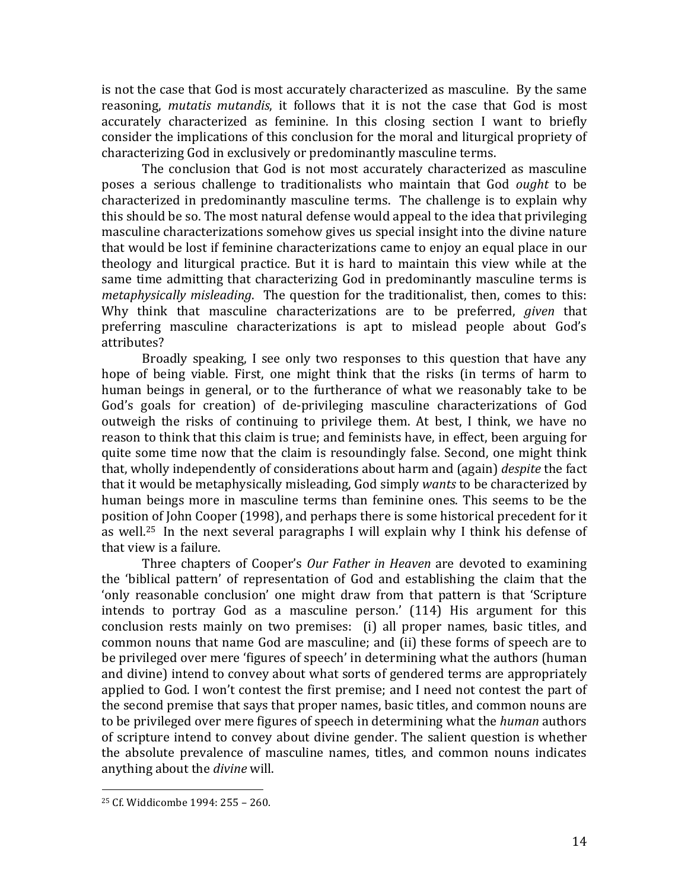is not the case that God is most accurately characterized as masculine. By the same reasoning, *mutatis mutandis*, it follows that it is not the case that God is most accurately characterized as feminine. In this closing section I want to briefly consider the implications of this conclusion for the moral and liturgical propriety of characterizing God in exclusively or predominantly masculine terms.

The conclusion that God is not most accurately characterized as masculine poses a serious challenge to traditionalists who maintain that God *ought* to be characterized in predominantly masculine terms. The challenge is to explain why this should be so. The most natural defense would appeal to the idea that privileging masculine characterizations somehow gives us special insight into the divine nature that would be lost if feminine characterizations came to enjoy an equal place in our theology and liturgical practice. But it is hard to maintain this view while at the same time admitting that characterizing God in predominantly masculine terms is *metaphysically misleading*. The question for the traditionalist, then, comes to this: Why think that masculine characterizations are to be preferred, *given* that preferring masculine characterizations is apt to mislead people about God's attributes?

Broadly speaking, I see only two responses to this question that have any hope of being viable. First, one might think that the risks (in terms of harm to human beings in general, or to the furtherance of what we reasonably take to be God's goals for creation) of de-privileging masculine characterizations of God outweigh the risks of continuing to privilege them. At best, I think, we have no reason to think that this claim is true; and feminists have, in effect, been arguing for quite some time now that the claim is resoundingly false. Second, one might think that, wholly independently of considerations about harm and (again) *despite* the fact that it would be metaphysically misleading, God simply *wants* to be characterized by human beings more in masculine terms than feminine ones. This seems to be the position of John Cooper (1998), and perhaps there is some historical precedent for it as well.<sup>25</sup> In the next several paragraphs I will explain why I think his defense of that view is a failure.

Three chapters of Cooper's *Our Father in Heaven* are devoted to examining the 'biblical pattern' of representation of God and establishing the claim that the 'only reasonable conclusion' one might draw from that pattern is that 'Scripture intends to portray God as a masculine person.'  $(114)$  His argument for this conclusion rests mainly on two premises: (i) all proper names, basic titles, and common nouns that name God are masculine; and (ii) these forms of speech are to be privileged over mere 'figures of speech' in determining what the authors (human and divine) intend to convey about what sorts of gendered terms are appropriately applied to God. I won't contest the first premise; and I need not contest the part of the second premise that says that proper names, basic titles, and common nouns are to be privileged over mere figures of speech in determining what the *human* authors of scripture intend to convey about divine gender. The salient question is whether the absolute prevalence of masculine names, titles, and common nouns indicates anything about the *divine* will.

 <sup>25</sup> Cf. Widdicombe 1994: 255 - 260.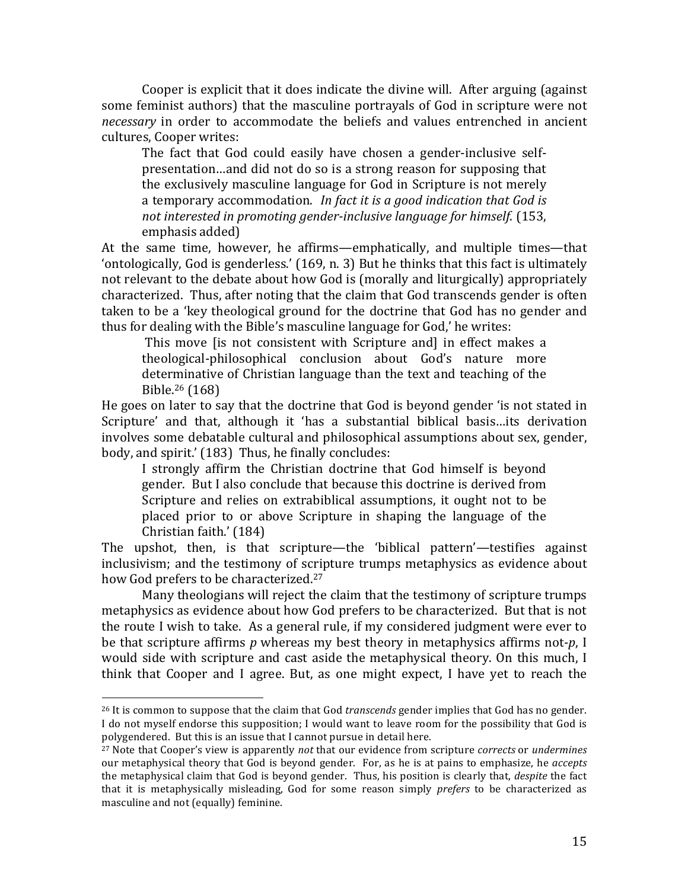Cooper is explicit that it does indicate the divine will. After arguing (against) some feminist authors) that the masculine portrayals of God in scripture were not *necessary* in order to accommodate the beliefs and values entrenched in ancient cultures, Cooper writes:

The fact that God could easily have chosen a gender-inclusive selfpresentation…and did not do so is a strong reason for supposing that the exclusively masculine language for God in Scripture is not merely a temporary accommodation. In fact it is a good indication that God is not interested in promoting gender-inclusive language for himself. (153, emphasis added)

At the same time, however, he affirms—emphatically, and multiple times—that 'ontologically, God is genderless.' (169, n. 3) But he thinks that this fact is ultimately not relevant to the debate about how God is (morally and liturgically) appropriately characterized. Thus, after noting that the claim that God transcends gender is often taken to be a 'key theological ground for the doctrine that God has no gender and thus for dealing with the Bible's masculine language for God,' he writes:

This move [is not consistent with Scripture and] in effect makes a theological-philosophical conclusion about God's nature more determinative of Christian language than the text and teaching of the Bible.26 (168)

He goes on later to say that the doctrine that God is beyond gender 'is not stated in Scripture' and that, although it 'has a substantial biblical basis...its derivation involves some debatable cultural and philosophical assumptions about sex, gender, body, and spirit.' (183) Thus, he finally concludes:

I strongly affirm the Christian doctrine that God himself is beyond gender. But I also conclude that because this doctrine is derived from Scripture and relies on extrabiblical assumptions, it ought not to be placed prior to or above Scripture in shaping the language of the Christian faith.' (184)

The upshot, then, is that scripture—the 'biblical pattern'—testifies against inclusivism; and the testimony of scripture trumps metaphysics as evidence about how God prefers to be characterized.<sup>27</sup>

Many theologians will reject the claim that the testimony of scripture trumps metaphysics as evidence about how God prefers to be characterized. But that is not the route I wish to take. As a general rule, if my considered judgment were ever to be that scripture affirms *p* whereas my best theory in metaphysics affirms not-*p*, I would side with scripture and cast aside the metaphysical theory. On this much, I think that Cooper and I agree. But, as one might expect, I have yet to reach the

<sup>&</sup>lt;sup>26</sup> It is common to suppose that the claim that God *transcends* gender implies that God has no gender. I do not myself endorse this supposition; I would want to leave room for the possibility that God is polygendered. But this is an issue that I cannot pursue in detail here.

<sup>&</sup>lt;sup>27</sup> Note that Cooper's view is apparently *not* that our evidence from scripture *corrects* or *undermines* our metaphysical theory that God is beyond gender. For, as he is at pains to emphasize, he *accepts* the metaphysical claim that God is beyond gender. Thus, his position is clearly that, *despite* the fact that it is metaphysically misleading, God for some reason simply *prefers* to be characterized as masculine and not (equally) feminine.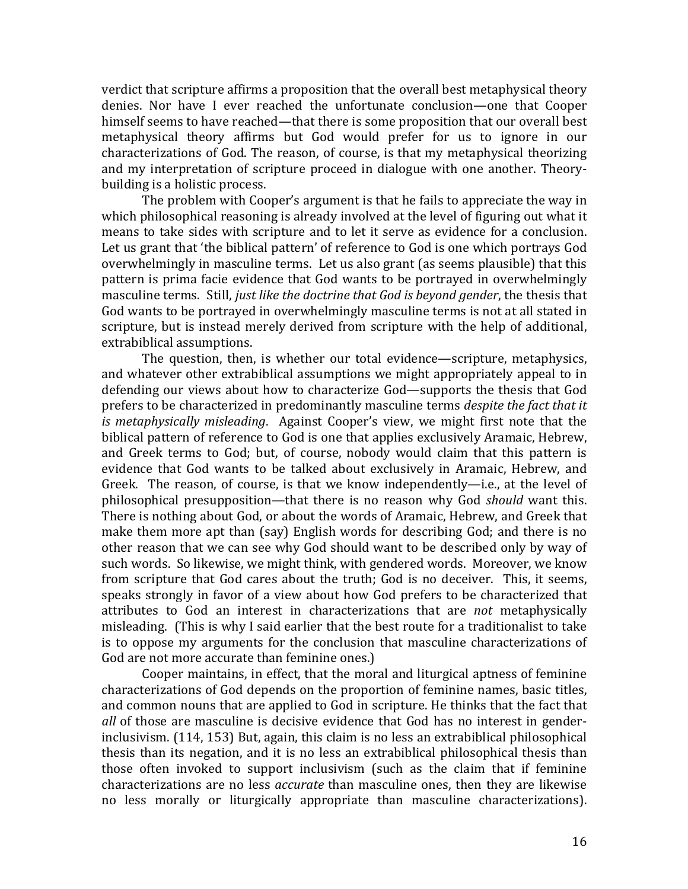verdict that scripture affirms a proposition that the overall best metaphysical theory denies. Nor have I ever reached the unfortunate conclusion—one that Cooper himself seems to have reached—that there is some proposition that our overall best metaphysical theory affirms but God would prefer for us to ignore in our characterizations of God. The reason, of course, is that my metaphysical theorizing and my interpretation of scripture proceed in dialogue with one another. Theorybuilding is a holistic process.

The problem with Cooper's argument is that he fails to appreciate the way in which philosophical reasoning is already involved at the level of figuring out what it means to take sides with scripture and to let it serve as evidence for a conclusion. Let us grant that 'the biblical pattern' of reference to God is one which portrays God overwhelmingly in masculine terms. Let us also grant (as seems plausible) that this pattern is prima facie evidence that God wants to be portrayed in overwhelmingly masculine terms. Still, *just like the doctrine that God is beyond gender*, the thesis that God wants to be portrayed in overwhelmingly masculine terms is not at all stated in scripture, but is instead merely derived from scripture with the help of additional, extrabiblical assumptions.

The question, then, is whether our total evidence—scripture, metaphysics, and whatever other extrabiblical assumptions we might appropriately appeal to in defending our views about how to characterize God—supports the thesis that God prefers to be characterized in predominantly masculine terms *despite the fact that it is* metaphysically misleading. Against Cooper's view, we might first note that the biblical pattern of reference to God is one that applies exclusively Aramaic, Hebrew, and Greek terms to God; but, of course, nobody would claim that this pattern is evidence that God wants to be talked about exclusively in Aramaic, Hebrew, and Greek. The reason, of course, is that we know independently—i.e., at the level of philosophical presupposition—that there is no reason why God *should* want this. There is nothing about God, or about the words of Aramaic, Hebrew, and Greek that make them more apt than  $(say)$  English words for describing God; and there is no other reason that we can see why God should want to be described only by way of such words. So likewise, we might think, with gendered words. Moreover, we know from scripture that God cares about the truth; God is no deceiver. This, it seems, speaks strongly in favor of a view about how God prefers to be characterized that attributes to God an interest in characterizations that are *not* metaphysically misleading. (This is why I said earlier that the best route for a traditionalist to take is to oppose my arguments for the conclusion that masculine characterizations of God are not more accurate than feminine ones.)

Cooper maintains, in effect, that the moral and liturgical aptness of feminine characterizations of God depends on the proportion of feminine names, basic titles, and common nouns that are applied to God in scripture. He thinks that the fact that *all* of those are masculine is decisive evidence that God has no interest in genderinclusivism. (114, 153) But, again, this claim is no less an extrabiblical philosophical thesis than its negation, and it is no less an extrabiblical philosophical thesis than those often invoked to support inclusivism (such as the claim that if feminine characterizations are no less *accurate* than masculine ones, then they are likewise no less morally or liturgically appropriate than masculine characterizations).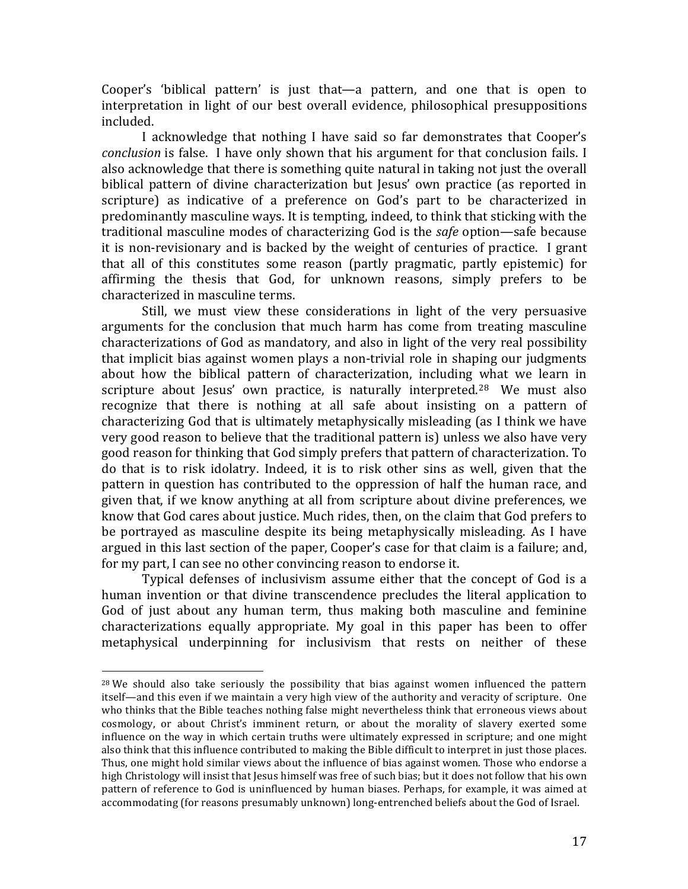Cooper's 'biblical pattern' is just that—a pattern, and one that is open to interpretation in light of our best overall evidence, philosophical presuppositions included. 

I acknowledge that nothing I have said so far demonstrates that Cooper's *conclusion* is false. I have only shown that his argument for that conclusion fails. I also acknowledge that there is something quite natural in taking not just the overall biblical pattern of divine characterization but Jesus' own practice (as reported in scripture) as indicative of a preference on God's part to be characterized in predominantly masculine ways. It is tempting, indeed, to think that sticking with the traditional masculine modes of characterizing God is the *safe* option—safe because it is non-revisionary and is backed by the weight of centuries of practice. I grant that all of this constitutes some reason (partly pragmatic, partly epistemic) for affirming the thesis that God, for unknown reasons, simply prefers to be characterized in masculine terms.

Still, we must view these considerations in light of the very persuasive arguments for the conclusion that much harm has come from treating masculine characterizations of God as mandatory, and also in light of the very real possibility that implicit bias against women plays a non-trivial role in shaping our judgments about how the biblical pattern of characterization, including what we learn in scripture about  $Iess'$  own practice, is naturally interpreted.<sup>28</sup> We must also recognize that there is nothing at all safe about insisting on a pattern of characterizing God that is ultimately metaphysically misleading (as I think we have very good reason to believe that the traditional pattern is) unless we also have very good reason for thinking that God simply prefers that pattern of characterization. To do that is to risk idolatry. Indeed, it is to risk other sins as well, given that the pattern in question has contributed to the oppression of half the human race, and given that, if we know anything at all from scripture about divine preferences, we know that God cares about justice. Much rides, then, on the claim that God prefers to be portrayed as masculine despite its being metaphysically misleading. As I have argued in this last section of the paper, Cooper's case for that claim is a failure; and, for my part, I can see no other convincing reason to endorse it.

Typical defenses of inclusivism assume either that the concept of God is a human invention or that divine transcendence precludes the literal application to God of just about any human term, thus making both masculine and feminine characterizations equally appropriate. My goal in this paper has been to offer metaphysical underpinning for inclusivism that rests on neither of these

 $28$  We should also take seriously the possibility that bias against women influenced the pattern itself—and this even if we maintain a very high view of the authority and veracity of scripture. One who thinks that the Bible teaches nothing false might nevertheless think that erroneous views about cosmology, or about Christ's imminent return, or about the morality of slavery exerted some influence on the way in which certain truths were ultimately expressed in scripture; and one might also think that this influence contributed to making the Bible difficult to interpret in just those places. Thus, one might hold similar views about the influence of bias against women. Those who endorse a high Christology will insist that Jesus himself was free of such bias; but it does not follow that his own pattern of reference to God is uninfluenced by human biases. Perhaps, for example, it was aimed at accommodating (for reasons presumably unknown) long-entrenched beliefs about the God of Israel.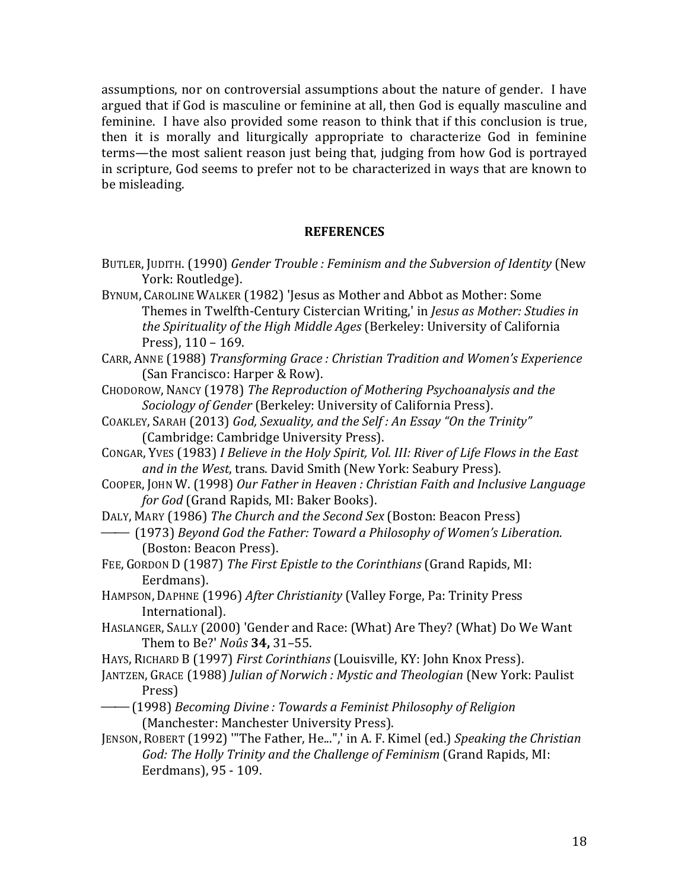assumptions, nor on controversial assumptions about the nature of gender. I have argued that if God is masculine or feminine at all, then God is equally masculine and feminine. I have also provided some reason to think that if this conclusion is true, then it is morally and liturgically appropriate to characterize God in feminine terms—the most salient reason just being that, judging from how God is portrayed in scripture, God seems to prefer not to be characterized in ways that are known to be misleading.

#### **REFERENCES**

- BUTLER, JUDITH. (1990) *Gender Trouble : Feminism and the Subversion of Identity* (New York: Routledge).
- BYNUM, CAROLINE WALKER (1982) 'Jesus as Mother and Abbot as Mother: Some Themes in Twelfth-Century Cistercian Writing,' in *Jesus as Mother: Studies in the Spirituality of the High Middle Ages* (Berkeley: University of California Press),  $110 - 169$ .
- CARR, ANNE (1988) *Transforming Grace : Christian Tradition and Women's Experience* (San Francisco: Harper & Row).
- CHODOROW, NANCY (1978) *The Reproduction of Mothering Psychoanalysis and the Sociology of Gender* (Berkeley: University of California Press).
- COAKLEY, SARAH (2013) *God, Sexuality, and the Self: An Essay "On the Trinity"* (Cambridge: Cambridge University Press).
- CONGAR, YVES (1983) *I Believe in the Holy Spirit, Vol. III: River of Life Flows in the East* and in the West, trans. David Smith (New York: Seabury Press).
- COOPER, JOHN W. (1998) Our Father in Heaven *:* Christian Faith and Inclusive Language *for God* (Grand Rapids, MI: Baker Books).
- DALY, MARY (1986) *The Church and the Second Sex* (Boston: Beacon Press)
- ⎯⎯ (1973) *Beyond God the Father: Toward a Philosophy of Women's Liberation.* (Boston: Beacon Press).
- FEE, GORDON D (1987) *The First Epistle to the Corinthians* (Grand Rapids, MI: Eerdmans).
- HAMPSON, DAPHNE (1996) *After Christianity* (Valley Forge, Pa: Trinity Press International).
- HASLANGER, SALLY (2000) 'Gender and Race: (What) Are They? (What) Do We Want Them to Be?' *Noûs* **34,** 31–55.
- HAYS, RICHARD B (1997) *First Corinthians* (Louisville, KY: John Knox Press).
- JANTZEN, GRACE (1988) *Julian of Norwich : Mystic and Theologian* (New York: Paulist Press)
- ⎯⎯ (1998) *Becoming Divine : Towards a Feminist Philosophy of Religion* (Manchester: Manchester University Press).
- JENSON, ROBERT (1992) "The Father, He...",' in A. F. Kimel (ed.) Speaking the Christian *God: The Holly Trinity and the Challenge of Feminism* (Grand Rapids, MI: Eerdmans), 95 - 109.